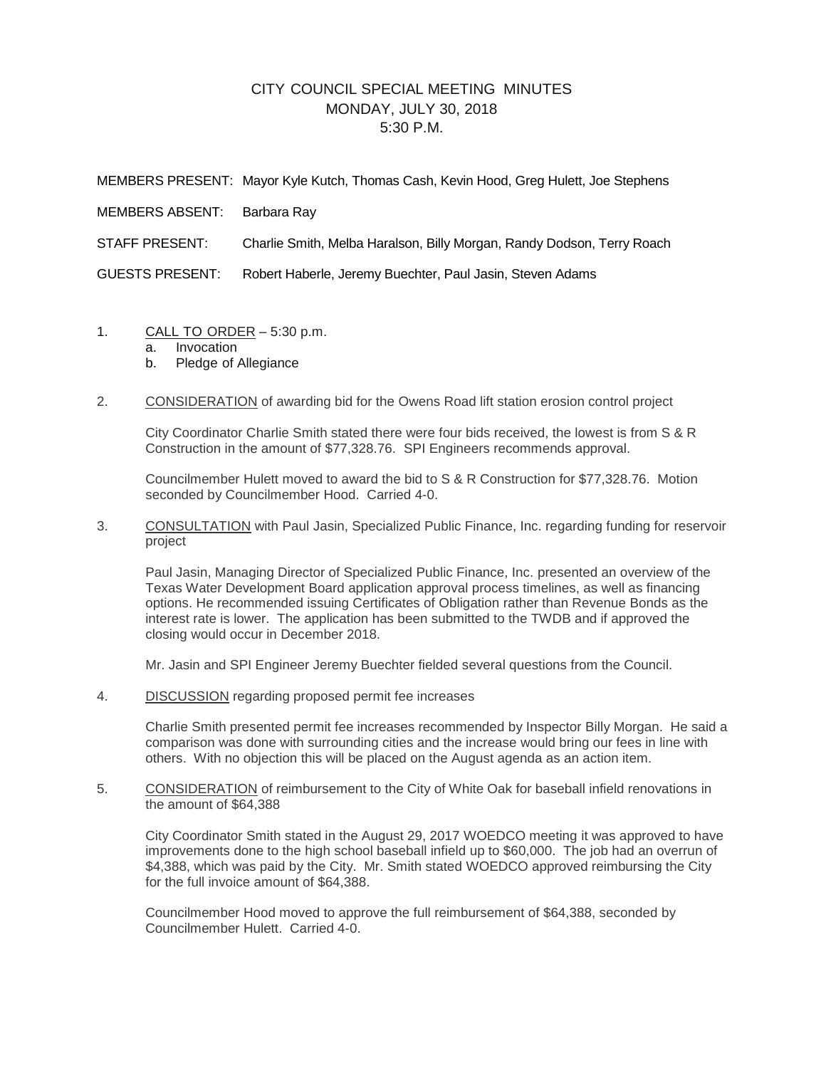## CITY COUNCIL SPECIAL MEETING MINUTES MONDAY, JULY 30, 2018 5:30 P.M.

|                 | MEMBERS PRESENT: Mayor Kyle Kutch, Thomas Cash, Kevin Hood, Greg Hulett, Joe Stephens |
|-----------------|---------------------------------------------------------------------------------------|
| MEMBERS ABSENT: | Barbara Ray                                                                           |
| STAFF PRESENT:  | Charlie Smith, Melba Haralson, Billy Morgan, Randy Dodson, Terry Roach                |
| GUESTS PRESENT: | Robert Haberle, Jeremy Buechter, Paul Jasin, Steven Adams                             |
|                 |                                                                                       |

- 1. CALL TO ORDER 5:30 p.m.
	- a. Invocation
	- b. Pledge of Allegiance
- 2. CONSIDERATION of awarding bid for the Owens Road lift station erosion control project

City Coordinator Charlie Smith stated there were four bids received, the lowest is from S & R Construction in the amount of \$77,328.76. SPI Engineers recommends approval.

Councilmember Hulett moved to award the bid to S & R Construction for \$77,328.76. Motion seconded by Councilmember Hood. Carried 4-0.

3. CONSULTATION with Paul Jasin, Specialized Public Finance, Inc. regarding funding for reservoir project

Paul Jasin, Managing Director of Specialized Public Finance, Inc. presented an overview of the Texas Water Development Board application approval process timelines, as well as financing options. He recommended issuing Certificates of Obligation rather than Revenue Bonds as the interest rate is lower. The application has been submitted to the TWDB and if approved the closing would occur in December 2018.

Mr. Jasin and SPI Engineer Jeremy Buechter fielded several questions from the Council.

4. DISCUSSION regarding proposed permit fee increases

Charlie Smith presented permit fee increases recommended by Inspector Billy Morgan. He said a comparison was done with surrounding cities and the increase would bring our fees in line with others. With no objection this will be placed on the August agenda as an action item.

5. CONSIDERATION of reimbursement to the City of White Oak for baseball infield renovations in the amount of \$64,388

City Coordinator Smith stated in the August 29, 2017 WOEDCO meeting it was approved to have improvements done to the high school baseball infield up to \$60,000. The job had an overrun of \$4,388, which was paid by the City. Mr. Smith stated WOEDCO approved reimbursing the City for the full invoice amount of \$64,388.

Councilmember Hood moved to approve the full reimbursement of \$64,388, seconded by Councilmember Hulett. Carried 4-0.